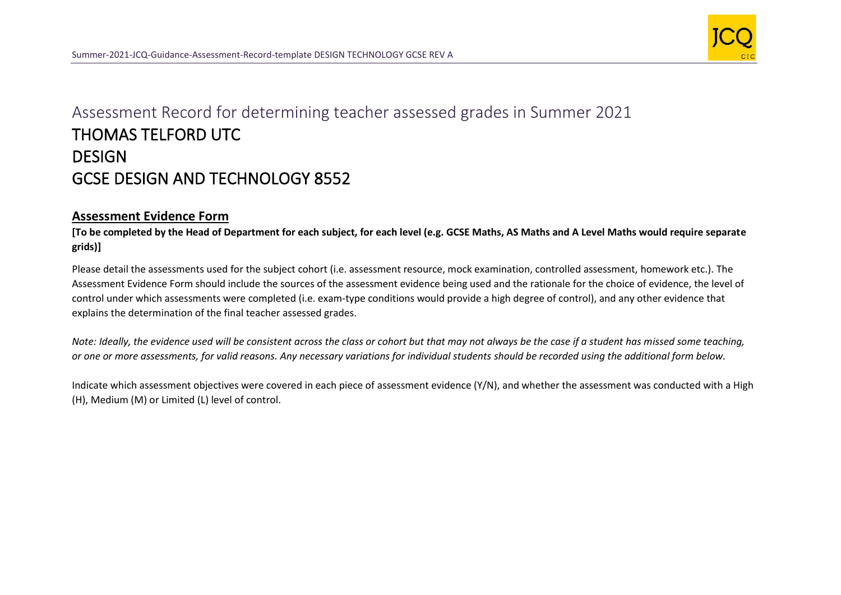

## Assessment Record for determining teacher assessed grades in Summer 2021 THOMAS TELFORD UTC **DESIGN** GCSE DESIGN AND TECHNOLOGY 8552

## **Assessment Evidence Form**

**[To be completed by the Head of Department for each subject, for each level (e.g. GCSE Maths, AS Maths and A Level Maths would require separate grids)]**

Please detail the assessments used for the subject cohort (i.e. assessment resource, mock examination, controlled assessment, homework etc.). The Assessment Evidence Form should include the sources of the assessment evidence being used and the rationale for the choice of evidence, the level of control under which assessments were completed (i.e. exam-type conditions would provide a high degree of control), and any other evidence that explains the determination of the final teacher assessed grades.

*Note: Ideally, the evidence used will be consistent across the class or cohort but that may not always be the case if a student has missed some teaching, or one or more assessments, for valid reasons. Any necessary variations for individual students should be recorded using the additional form below.* 

Indicate which assessment objectives were covered in each piece of assessment evidence (Y/N), and whether the assessment was conducted with a High (H), Medium (M) or Limited (L) level of control.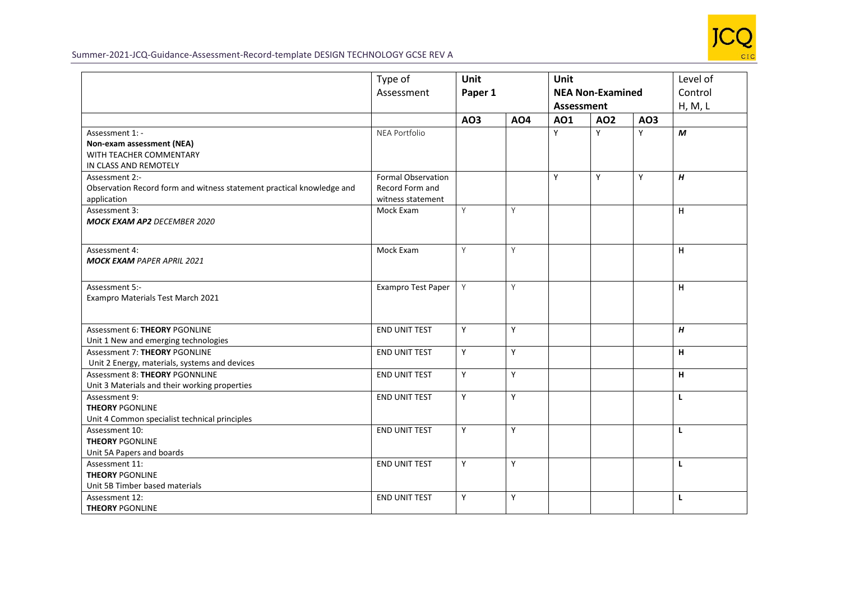

## Summer-2021-JCQ-Guidance-Assessment-Record-template DESIGN TECHNOLOGY GCSE REV A

|                                                                                                        | Type of<br>Assessment                                      | <b>Unit</b><br>Paper 1 |            | <b>Unit</b><br><b>NEA Non-Examined</b><br><b>Assessment</b> |     |     | Level of<br>Control<br>H, M, L |
|--------------------------------------------------------------------------------------------------------|------------------------------------------------------------|------------------------|------------|-------------------------------------------------------------|-----|-----|--------------------------------|
|                                                                                                        |                                                            | AO3                    | <b>AO4</b> | AO1                                                         | AO2 | AO3 |                                |
| Assessment 1: -<br>Non-exam assessment (NEA)<br>WITH TEACHER COMMENTARY<br>IN CLASS AND REMOTELY       | NEA Portfolio                                              |                        |            | Y                                                           | Y   | Y   | M                              |
| Assessment 2:-<br>Observation Record form and witness statement practical knowledge and<br>application | Formal Observation<br>Record Form and<br>witness statement |                        |            | Y                                                           | Y   | Y   | H                              |
| Assessment 3:<br><b>MOCK EXAM AP2 DECEMBER 2020</b>                                                    | Mock Exam                                                  | Y                      | Y          |                                                             |     |     | H                              |
| Assessment 4:<br><b>MOCK EXAM PAPER APRIL 2021</b>                                                     | Mock Exam                                                  | Y                      | Y          |                                                             |     |     | H                              |
| Assessment 5:-<br>Exampro Materials Test March 2021                                                    | Exampro Test Paper                                         | Y                      | Y          |                                                             |     |     | H                              |
| Assessment 6: THEORY PGONLINE<br>Unit 1 New and emerging technologies                                  | <b>END UNIT TEST</b>                                       | Υ                      | Y          |                                                             |     |     | H                              |
| Assessment 7: THEORY PGONLINE<br>Unit 2 Energy, materials, systems and devices                         | <b>END UNIT TEST</b>                                       | Y                      | Y          |                                                             |     |     | н                              |
| Assessment 8: THEORY PGONNLINE<br>Unit 3 Materials and their working properties                        | END UNIT TEST                                              | Y                      | Y          |                                                             |     |     | H                              |
| Assessment 9:<br><b>THEORY PGONLINE</b><br>Unit 4 Common specialist technical principles               | END UNIT TEST                                              | Y                      | Υ          |                                                             |     |     | L                              |
| Assessment 10:<br><b>THEORY PGONLINE</b><br>Unit 5A Papers and boards                                  | <b>END UNIT TEST</b>                                       | Y                      | Y          |                                                             |     |     | L                              |
| Assessment 11:<br><b>THEORY PGONLINE</b><br>Unit 5B Timber based materials                             | <b>END UNIT TEST</b>                                       | Y                      | Y          |                                                             |     |     | L                              |
| Assessment 12:<br><b>THEORY PGONLINE</b>                                                               | <b>END UNIT TEST</b>                                       | Y                      | Υ          |                                                             |     |     | L                              |